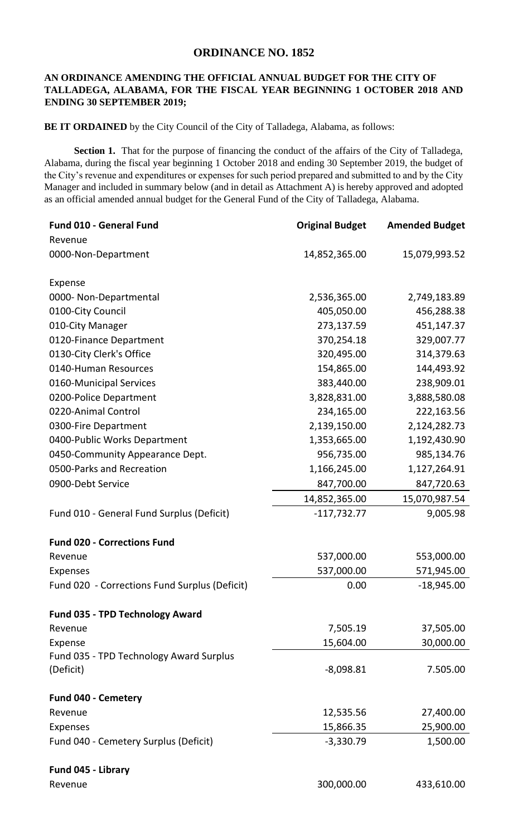## **ORDINANCE NO. 1852**

## **AN ORDINANCE AMENDING THE OFFICIAL ANNUAL BUDGET FOR THE CITY OF TALLADEGA, ALABAMA, FOR THE FISCAL YEAR BEGINNING 1 OCTOBER 2018 AND ENDING 30 SEPTEMBER 2019;**

**BE IT ORDAINED** by the City Council of the City of Talladega, Alabama, as follows:

Section 1. That for the purpose of financing the conduct of the affairs of the City of Talladega, Alabama, during the fiscal year beginning 1 October 2018 and ending 30 September 2019, the budget of the City's revenue and expenditures or expenses for such period prepared and submitted to and by the City Manager and included in summary below (and in detail as Attachment A) is hereby approved and adopted as an official amended annual budget for the General Fund of the City of Talladega, Alabama.

| Fund 010 - General Fund                       | <b>Original Budget</b> | <b>Amended Budget</b> |
|-----------------------------------------------|------------------------|-----------------------|
| Revenue                                       |                        |                       |
| 0000-Non-Department                           | 14,852,365.00          | 15,079,993.52         |
| Expense                                       |                        |                       |
| 0000- Non-Departmental                        | 2,536,365.00           | 2,749,183.89          |
| 0100-City Council                             | 405,050.00             | 456,288.38            |
| 010-City Manager                              | 273,137.59             | 451,147.37            |
| 0120-Finance Department                       | 370,254.18             | 329,007.77            |
| 0130-City Clerk's Office                      | 320,495.00             | 314,379.63            |
| 0140-Human Resources                          | 154,865.00             | 144,493.92            |
| 0160-Municipal Services                       | 383,440.00             | 238,909.01            |
| 0200-Police Department                        | 3,828,831.00           | 3,888,580.08          |
| 0220-Animal Control                           | 234,165.00             | 222,163.56            |
| 0300-Fire Department                          | 2,139,150.00           | 2,124,282.73          |
| 0400-Public Works Department                  | 1,353,665.00           | 1,192,430.90          |
| 0450-Community Appearance Dept.               | 956,735.00             | 985,134.76            |
| 0500-Parks and Recreation                     | 1,166,245.00           | 1,127,264.91          |
| 0900-Debt Service                             | 847,700.00             | 847,720.63            |
|                                               | 14,852,365.00          | 15,070,987.54         |
| Fund 010 - General Fund Surplus (Deficit)     | $-117,732.77$          | 9,005.98              |
| <b>Fund 020 - Corrections Fund</b>            |                        |                       |
| Revenue                                       | 537,000.00             | 553,000.00            |
| Expenses                                      | 537,000.00             | 571,945.00            |
| Fund 020 - Corrections Fund Surplus (Deficit) | 0.00                   | $-18,945.00$          |
| <b>Fund 035 - TPD Technology Award</b>        |                        |                       |
| Revenue                                       | 7,505.19               | 37,505.00             |
| Expense                                       | 15,604.00              | 30,000.00             |
| Fund 035 - TPD Technology Award Surplus       |                        |                       |
| (Deficit)                                     | $-8,098.81$            | 7.505.00              |
| Fund 040 - Cemetery                           |                        |                       |
| Revenue                                       | 12,535.56              | 27,400.00             |
| Expenses                                      | 15,866.35              | 25,900.00             |
| Fund 040 - Cemetery Surplus (Deficit)         | $-3,330.79$            | 1,500.00              |
| Fund 045 - Library                            |                        |                       |
| Revenue                                       | 300,000.00             | 433,610.00            |